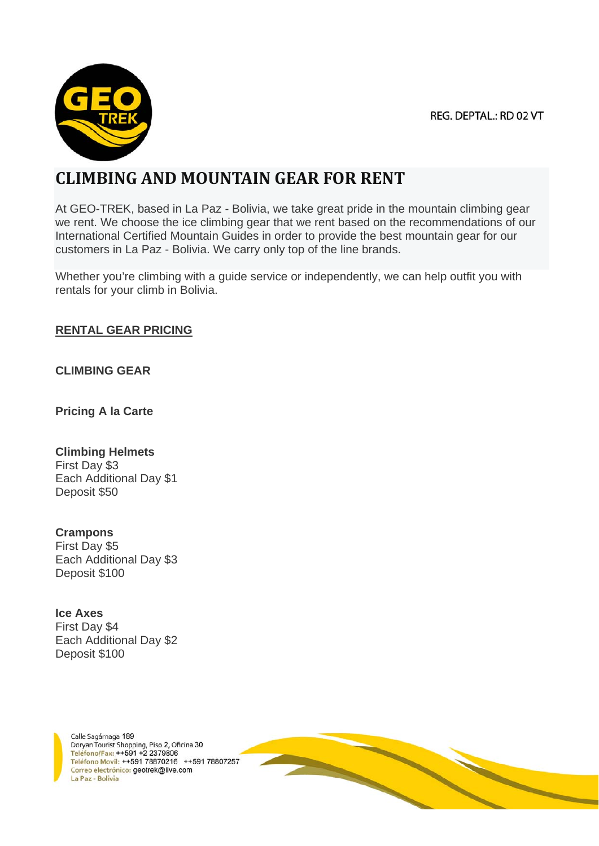

# **CLIMBING AND MOUNTAIN GEAR FOR RENT**

At GEO-TREK, based in La Paz - Bolivia, we take great pride in the mountain climbing gear we rent. We choose the ice climbing gear that we rent based on the recommendations of our International Certified Mountain Guides in order to provide the best mountain gear for our customers in La Paz - Bolivia. We carry only top of the line brands.

Whether you're climbing with a guide service or independently, we can help outfit you with rentals for your climb in Bolivia.

#### **RENTAL GEAR PRICING**

**CLIMBING GEAR**

**Pricing A la Carte**

#### **Climbing Helmets**

First Day \$3 Each Additional Day \$1 Deposit \$50

## **Crampons**

First Day \$5 Each Additional Day \$3 Deposit \$100

#### **Ice Axes**

First Day \$4 Each Additional Day \$2 Deposit \$100



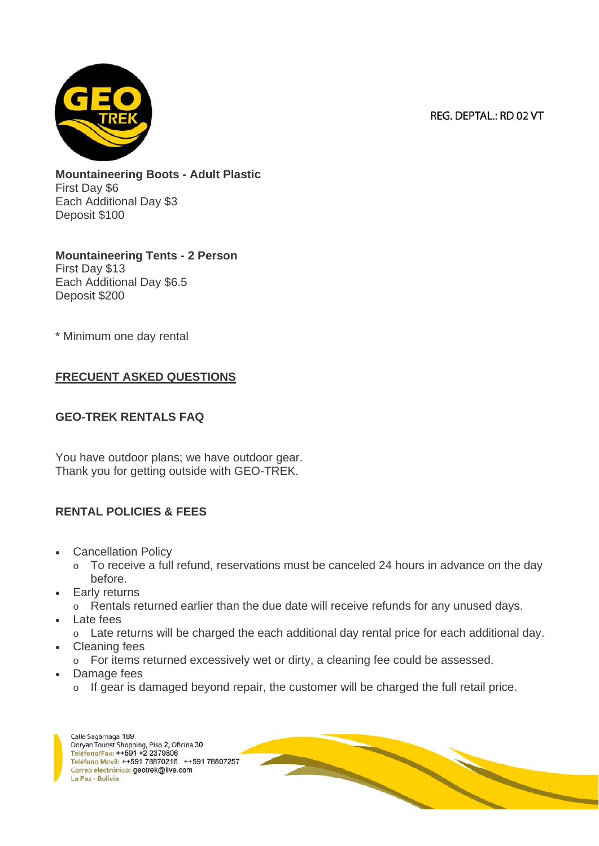

**Mountaineering Boots - Adult Plastic** First Day \$6 Each Additional Day \$3 Deposit \$100

**Mountaineering Tents - 2 Person** First Day \$13 Each Additional Day \$6.5 Deposit \$200

\* Minimum one day rental

## **FRECUENT ASKED QUESTIONS**

#### **GEO-TREK RENTALS FAQ**

You have outdoor plans; we have outdoor gear. Thank you for getting outside with GEO-TREK.

## **RENTAL POLICIES & FEES**

- Cancellation Policy
	- o To receive a full refund, reservations must be canceled 24 hours in advance on the day before.
- Early returns
	- o Rentals returned earlier than the due date will receive refunds for any unused days.
- Late fees
- o Late returns will be charged the each additional day rental price for each additional day.
- Cleaning fees
	- o For items returned excessively wet or dirty, a cleaning fee could be assessed.
- Damage fees
	- o If gear is damaged beyond repair, the customer will be charged the full retail price.

Calle Sagárnaga 189 Doryan Tourist Shopping, Piso 2, Oficina 30 Teléfono/Fax: ++591 +2 2379806 Teléfono Movil: ++591 78870216 ++591 78807257 Correo electrónico: geotrek@live.com La Paz - Bolivia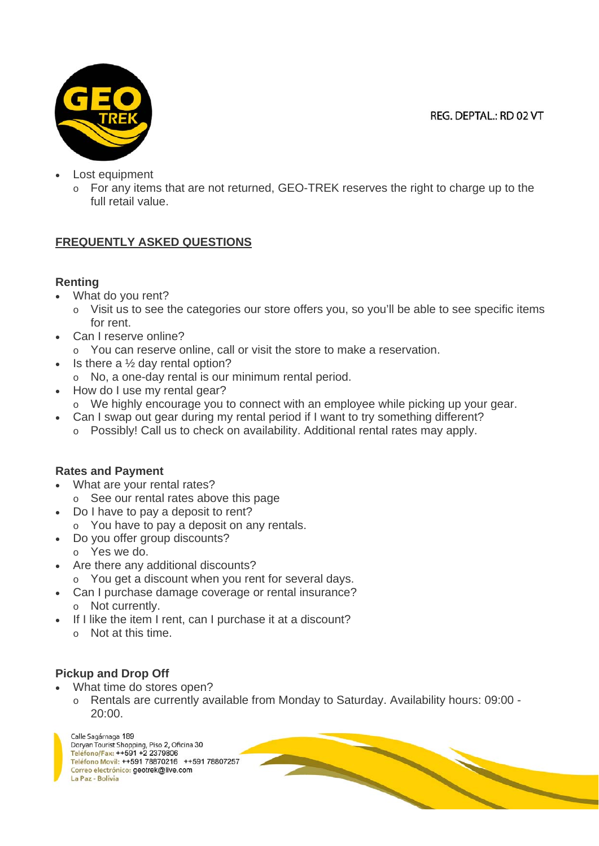

- Lost equipment
	- o For any items that are not returned, GEO-TREK reserves the right to charge up to the full retail value.

## **FREQUENTLY ASKED QUESTIONS**

## **Renting**

- What do you rent?
	- o Visit us to see the categories our store offers you, so you'll be able to see specific items for rent.
- Can I reserve online?
	- o You can reserve online, call or visit the store to make a reservation.
- Is there a  $\frac{1}{2}$  day rental option?
	- o No, a one-day rental is our minimum rental period.
- How do I use my rental gear?
- $\circ$  We highly encourage you to connect with an employee while picking up your gear.
	- Can I swap out gear during my rental period if I want to try something different?
		- o Possibly! Call us to check on availability. Additional rental rates may apply.

## **Rates and Payment**

- What are your rental rates?
	- o See our rental rates above this page
- Do I have to pay a deposit to rent?
	- o You have to pay a deposit on any rentals.
- Do you offer group discounts?
	- o Yes we do.
- Are there any additional discounts?
- o You get a discount when you rent for several days.
- Can I purchase damage coverage or rental insurance? o Not currently.
- If I like the item I rent, can I purchase it at a discount?
	- o Not at this time.

## **Pickup and Drop Off**

- What time do stores open?
	- o Rentals are currently available from Monday to Saturday. Availability hours: 09:00 20:00.

Calle Sagárnaga 189 Doryan Tourist Shopping, Piso 2, Oficina 30 Teléfono/Fax: ++591 +2 2379806 Teléfono Movil: ++591 78870216 ++591 78807257 Correo electrónico: geotrek@live.com La Paz - Bolivia